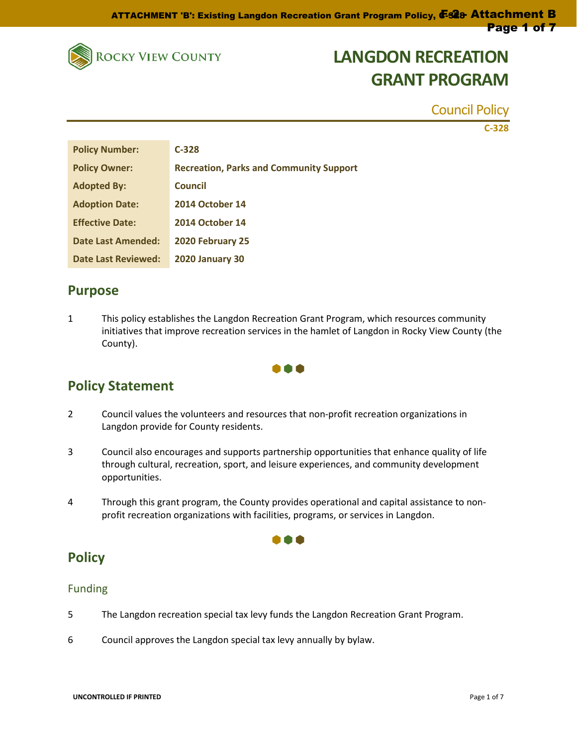

Council Policy

**C-328**

| <b>Policy Number:</b>      | $C-328$                                        |
|----------------------------|------------------------------------------------|
| <b>Policy Owner:</b>       | <b>Recreation, Parks and Community Support</b> |
| <b>Adopted By:</b>         | <b>Council</b>                                 |
| <b>Adoption Date:</b>      | <b>2014 October 14</b>                         |
| <b>Effective Date:</b>     | <b>2014 October 14</b>                         |
| Date Last Amended:         | 2020 February 25                               |
| <b>Date Last Reviewed:</b> | <b>2020 January 30</b>                         |

### **Purpose**

1 This policy establishes the Langdon Recreation Grant Program, which resources community initiatives that improve recreation services in the hamlet of Langdon in Rocky View County (the County).



## **Policy Statement**

- 2 Council values the volunteers and resources that non-profit recreation organizations in Langdon provide for County residents.
- 3 Council also encourages and supports partnership opportunities that enhance quality of life through cultural, recreation, sport, and leisure experiences, and community development opportunities.
- 4 Through this grant program, the County provides operational and capital assistance to nonprofit recreation organizations with facilities, programs, or services in Langdon.

000

## **Policy**

### Funding

- 5 The Langdon recreation special tax levy funds the Langdon Recreation Grant Program.
- 6 Council approves the Langdon special tax levy annually by bylaw.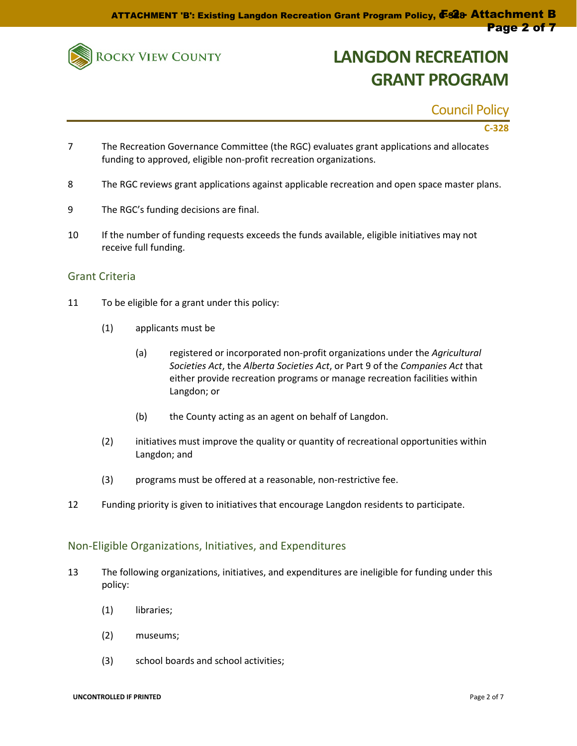

Council Policy

### **C-328**

- 7 The Recreation Governance Committee (the RGC) evaluates grant applications and allocates funding to approved, eligible non-profit recreation organizations.
- 8 The RGC reviews grant applications against applicable recreation and open space master plans.
- 9 The RGC's funding decisions are final.
- 10 If the number of funding requests exceeds the funds available, eligible initiatives may not receive full funding.

#### Grant Criteria

- 11 To be eligible for a grant under this policy:
	- (1) applicants must be
		- (a) registered or incorporated non-profit organizations under the *Agricultural Societies Act*, the *Alberta Societies Act*, or Part 9 of the *Companies Act* that either provide recreation programs or manage recreation facilities within Langdon; or
		- (b) the County acting as an agent on behalf of Langdon.
	- (2) initiatives must improve the quality or quantity of recreational opportunities within Langdon; and
	- (3) programs must be offered at a reasonable, non-restrictive fee.
- 12 Funding priority is given to initiatives that encourage Langdon residents to participate.

#### Non-Eligible Organizations, Initiatives, and Expenditures

- 13 The following organizations, initiatives, and expenditures are ineligible for funding under this policy:
	- (1) libraries;
	- (2) museums;
	- (3) school boards and school activities;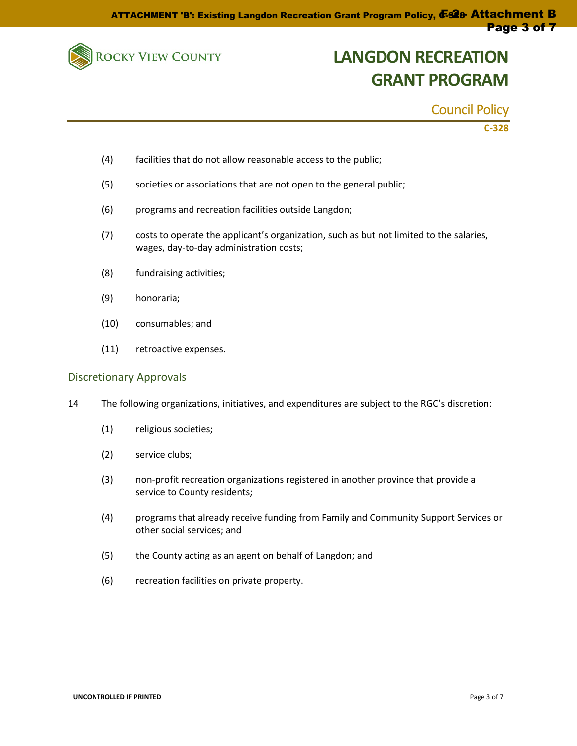

Council Policy

**C-328**

- (4) facilities that do not allow reasonable access to the public;
- (5) societies or associations that are not open to the general public;
- (6) programs and recreation facilities outside Langdon;
- (7) costs to operate the applicant's organization, such as but not limited to the salaries, wages, day-to-day administration costs;
- (8) fundraising activities;
- (9) honoraria;
- (10) consumables; and
- (11) retroactive expenses.

#### Discretionary Approvals

- 14 The following organizations, initiatives, and expenditures are subject to the RGC's discretion:
	- (1) religious societies;
	- (2) service clubs;
	- (3) non-profit recreation organizations registered in another province that provide a service to County residents;
	- (4) programs that already receive funding from Family and Community Support Services or other social services; and
	- (5) the County acting as an agent on behalf of Langdon; and
	- (6) recreation facilities on private property.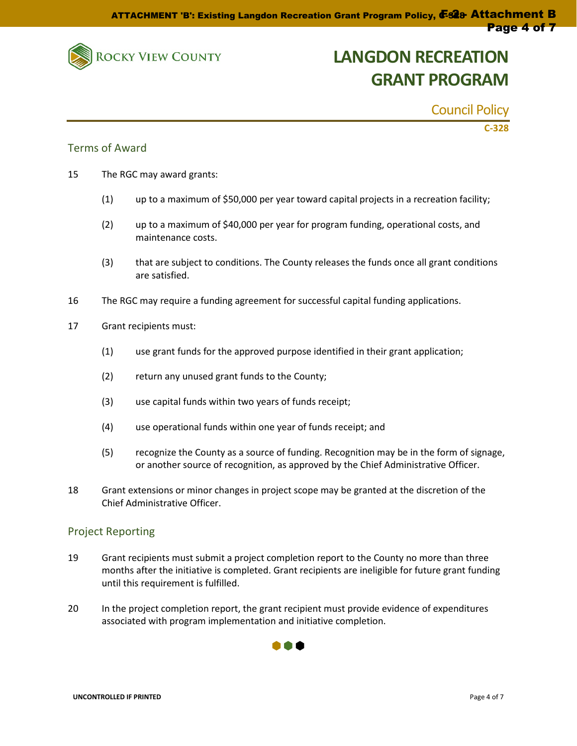

Council Policy

**C-328**

### Terms of Award

- 15 The RGC may award grants:
	- (1) up to a maximum of \$50,000 per year toward capital projects in a recreation facility;
	- (2) up to a maximum of \$40,000 per year for program funding, operational costs, and maintenance costs.
	- (3) that are subject to conditions. The County releases the funds once all grant conditions are satisfied.
- 16 The RGC may require a funding agreement for successful capital funding applications.
- 17 Grant recipients must:
	- (1) use grant funds for the approved purpose identified in their grant application;
	- (2) return any unused grant funds to the County;
	- (3) use capital funds within two years of funds receipt;
	- (4) use operational funds within one year of funds receipt; and
	- (5) recognize the County as a source of funding. Recognition may be in the form of signage, or another source of recognition, as approved by the Chief Administrative Officer.
- 18 Grant extensions or minor changes in project scope may be granted at the discretion of the Chief Administrative Officer.

### Project Reporting

- 19 Grant recipients must submit a project completion report to the County no more than three months after the initiative is completed. Grant recipients are ineligible for future grant funding until this requirement is fulfilled.
- 20 In the project completion report, the grant recipient must provide evidence of expenditures associated with program implementation and initiative completion.

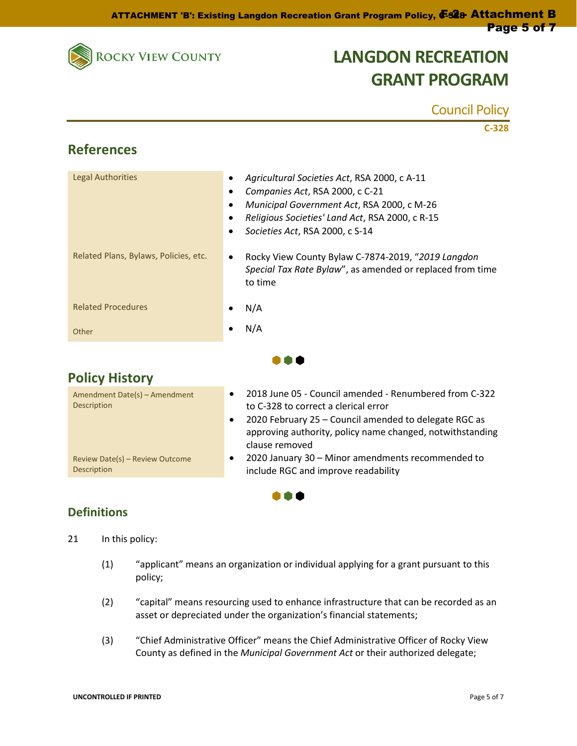

Council Policy

|                                       | $C-328$                                                                                                                                                                                                                            |
|---------------------------------------|------------------------------------------------------------------------------------------------------------------------------------------------------------------------------------------------------------------------------------|
| <b>References</b>                     |                                                                                                                                                                                                                                    |
| <b>Legal Authorities</b>              | Agricultural Societies Act, RSA 2000, c A-11<br>Companies Act, RSA 2000, c C-21<br>٠<br>Municipal Government Act, RSA 2000, c M-26<br>٠<br>Religious Societies' Land Act, RSA 2000, c R-15<br>Societies Act, RSA 2000, c S-14<br>٠ |
| Related Plans, Bylaws, Policies, etc. | Rocky View County Bylaw C-7874-2019, "2019 Langdon<br>٠<br>Special Tax Rate Bylaw", as amended or replaced from time<br>to time                                                                                                    |
| <b>Related Procedures</b>             | N/A                                                                                                                                                                                                                                |
| Other                                 | N/A                                                                                                                                                                                                                                |
|                                       |                                                                                                                                                                                                                                    |
| <b>Policy History</b>                 |                                                                                                                                                                                                                                    |
| $A_n$                                 | 2019 lung OF Council amondod Ronumborod from C 222                                                                                                                                                                                 |

| Amendment Date(s) - Amendment<br>Description          | 2018 June 05 - Council amended - Renumbered from C-322<br>to C-328 to correct a clerical error                                                    |
|-------------------------------------------------------|---------------------------------------------------------------------------------------------------------------------------------------------------|
|                                                       | 2020 February 25 - Council amended to delegate RGC as<br>$\bullet$<br>approving authority, policy name changed, notwithstanding<br>clause removed |
| Review Date(s) - Review Outcome<br><b>Description</b> | 2020 January 30 - Minor amendments recommended to<br>include RGC and improve readability                                                          |

n an d

## **Definitions**

21 In this policy:

- (1) "applicant" means an organization or individual applying for a grant pursuant to this policy;
- (2) "capital" means resourcing used to enhance infrastructure that can be recorded as an asset or depreciated under the organization's financial statements;
- (3) "Chief Administrative Officer" means the Chief Administrative Officer of Rocky View County as defined in the *Municipal Government Act* or their authorized delegate;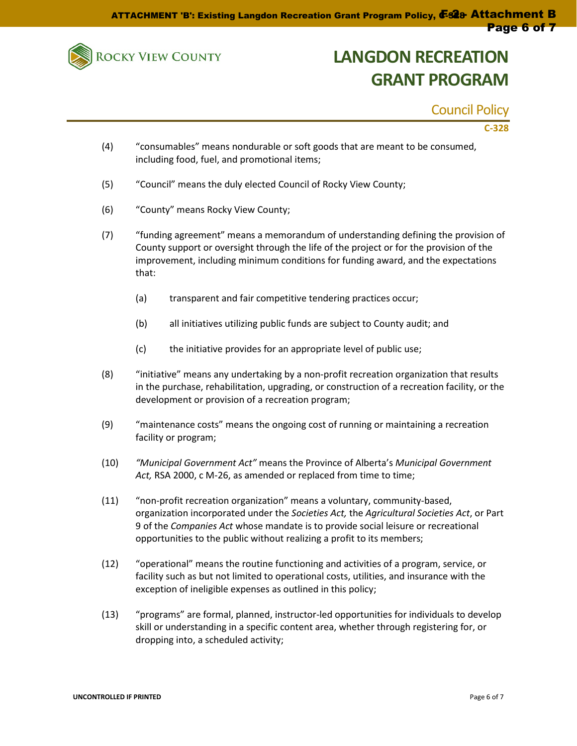

Council Policy

### **C-328**

- (4) "consumables" means nondurable or soft goods that are meant to be consumed, including food, fuel, and promotional items;
- (5) "Council" means the duly elected Council of Rocky View County;
- (6) "County" means Rocky View County;
- (7) "funding agreement" means a memorandum of understanding defining the provision of County support or oversight through the life of the project or for the provision of the improvement, including minimum conditions for funding award, and the expectations that:
	- (a) transparent and fair competitive tendering practices occur;
	- (b) all initiatives utilizing public funds are subject to County audit; and
	- (c) the initiative provides for an appropriate level of public use;
- (8) "initiative" means any undertaking by a non-profit recreation organization that results in the purchase, rehabilitation, upgrading, or construction of a recreation facility, or the development or provision of a recreation program;
- (9) "maintenance costs" means the ongoing cost of running or maintaining a recreation facility or program;
- (10) *"Municipal Government Act"* means the Province of Alberta's *Municipal Government Act,* RSA 2000, c M-26, as amended or replaced from time to time;
- (11) "non-profit recreation organization" means a voluntary, community-based, organization incorporated under the *Societies Act,* the *Agricultural Societies Act*, or Part 9 of the *Companies Act* whose mandate is to provide social leisure or recreational opportunities to the public without realizing a profit to its members;
- (12) "operational" means the routine functioning and activities of a program, service, or facility such as but not limited to operational costs, utilities, and insurance with the exception of ineligible expenses as outlined in this policy;
- (13) "programs" are formal, planned, instructor-led opportunities for individuals to develop skill or understanding in a specific content area, whether through registering for, or dropping into, a scheduled activity;